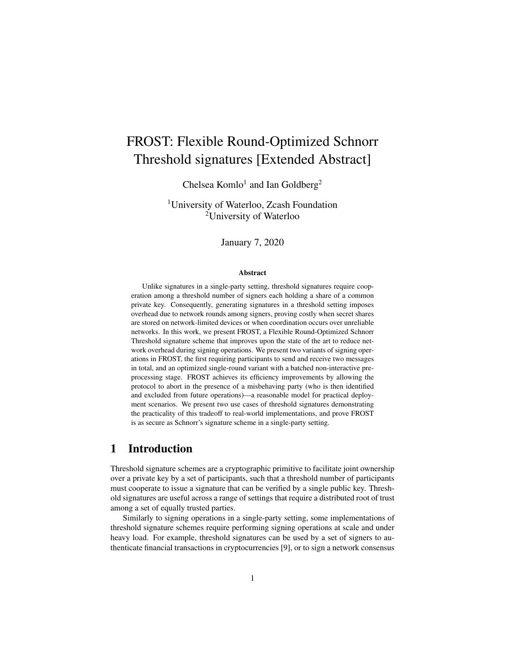# FROST: Flexible Round-Optimized Schnorr Threshold signatures [Extended Abstract]

Chelsea Komlo<sup>1</sup> and Ian Goldberg<sup>2</sup>

<sup>1</sup>University of Waterloo, Zcash Foundation <sup>2</sup>University of Waterloo

January 7, 2020

#### Abstract

Unlike signatures in a single-party setting, threshold signatures require cooperation among a threshold number of signers each holding a share of a common private key. Consequently, generating signatures in a threshold setting imposes overhead due to network rounds among signers, proving costly when secret shares are stored on network-limited devices or when coordination occurs over unreliable networks. In this work, we present FROST, a Flexible Round-Optimized Schnorr Threshold signature scheme that improves upon the state of the art to reduce network overhead during signing operations. We present two variants of signing operations in FROST, the first requiring participants to send and receive two messages in total, and an optimized single-round variant with a batched non-interactive preprocessing stage. FROST achieves its efficiency improvements by allowing the protocol to abort in the presence of a misbehaving party (who is then identified and excluded from future operations)—a reasonable model for practical deployment scenarios. We present two use cases of threshold signatures demonstrating the practicality of this tradeoff to real-world implementations, and prove FROST is as secure as Schnorr's signature scheme in a single-party setting.

# 1 Introduction

Threshold signature schemes are a cryptographic primitive to facilitate joint ownership over a private key by a set of participants, such that a threshold number of participants must cooperate to issue a signature that can be verified by a single public key. Threshold signatures are useful across a range of settings that require a distributed root of trust among a set of equally trusted parties.

Similarly to signing operations in a single-party setting, some implementations of threshold signature schemes require performing signing operations at scale and under heavy load. For example, threshold signatures can be used by a set of signers to authenticate financial transactions in cryptocurrencies [9], or to sign a network consensus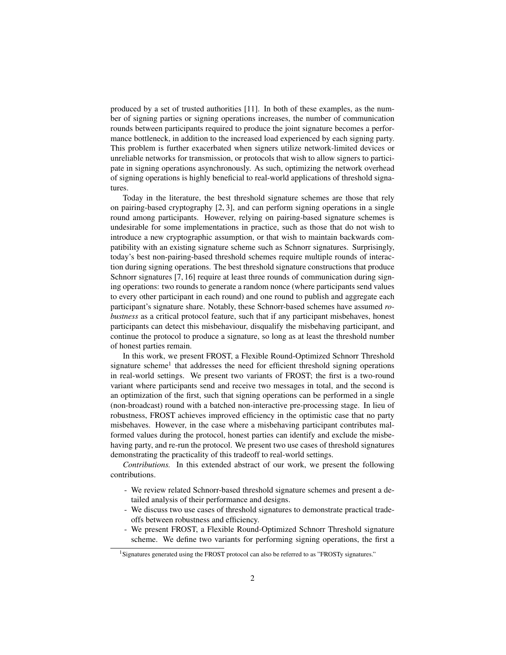produced by a set of trusted authorities [11]. In both of these examples, as the number of signing parties or signing operations increases, the number of communication rounds between participants required to produce the joint signature becomes a performance bottleneck, in addition to the increased load experienced by each signing party. This problem is further exacerbated when signers utilize network-limited devices or unreliable networks for transmission, or protocols that wish to allow signers to participate in signing operations asynchronously. As such, optimizing the network overhead of signing operations is highly beneficial to real-world applications of threshold signatures.

Today in the literature, the best threshold signature schemes are those that rely on pairing-based cryptography [2, 3], and can perform signing operations in a single round among participants. However, relying on pairing-based signature schemes is undesirable for some implementations in practice, such as those that do not wish to introduce a new cryptographic assumption, or that wish to maintain backwards compatibility with an existing signature scheme such as Schnorr signatures. Surprisingly, today's best non-pairing-based threshold schemes require multiple rounds of interaction during signing operations. The best threshold signature constructions that produce Schnorr signatures [7, 16] require at least three rounds of communication during signing operations: two rounds to generate a random nonce (where participants send values to every other participant in each round) and one round to publish and aggregate each participant's signature share. Notably, these Schnorr-based schemes have assumed *robustness* as a critical protocol feature, such that if any participant misbehaves, honest participants can detect this misbehaviour, disqualify the misbehaving participant, and continue the protocol to produce a signature, so long as at least the threshold number of honest parties remain.

In this work, we present FROST, a Flexible Round-Optimized Schnorr Threshold signature scheme<sup>1</sup> that addresses the need for efficient threshold signing operations in real-world settings. We present two variants of FROST; the first is a two-round variant where participants send and receive two messages in total, and the second is an optimization of the first, such that signing operations can be performed in a single (non-broadcast) round with a batched non-interactive pre-processing stage. In lieu of robustness, FROST achieves improved efficiency in the optimistic case that no party misbehaves. However, in the case where a misbehaving participant contributes malformed values during the protocol, honest parties can identify and exclude the misbehaving party, and re-run the protocol. We present two use cases of threshold signatures demonstrating the practicality of this tradeoff to real-world settings.

*Contributions.* In this extended abstract of our work, we present the following contributions.

- We review related Schnorr-based threshold signature schemes and present a detailed analysis of their performance and designs.
- We discuss two use cases of threshold signatures to demonstrate practical tradeoffs between robustness and efficiency.
- We present FROST, a Flexible Round-Optimized Schnorr Threshold signature scheme. We define two variants for performing signing operations, the first a

<sup>&</sup>lt;sup>1</sup>Signatures generated using the FROST protocol can also be referred to as "FROSTy signatures."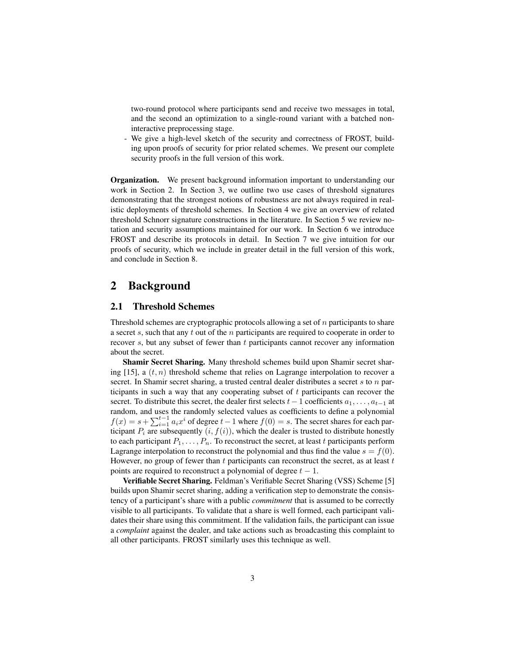two-round protocol where participants send and receive two messages in total, and the second an optimization to a single-round variant with a batched noninteractive preprocessing stage.

We give a high-level sketch of the security and correctness of FROST, building upon proofs of security for prior related schemes. We present our complete security proofs in the full version of this work.

**Organization.** We present background information important to understanding our work in Section 2. In Section 3, we outline two use cases of threshold signatures demonstrating that the strongest notions of robustness are not always required in realistic deployments of threshold schemes. In Section 4 we give an overview of related threshold Schnorr signature constructions in the literature. In Section 5 we review notation and security assumptions maintained for our work. In Section 6 we introduce FROST and describe its protocols in detail. In Section 7 we give intuition for our proofs of security, which we include in greater detail in the full version of this work, and conclude in Section 8.

# 2 Background

### 2.1 Threshold Schemes

Threshold schemes are cryptographic protocols allowing a set of  $n$  participants to share a secret s, such that any t out of the n participants are required to cooperate in order to recover s, but any subset of fewer than  $t$  participants cannot recover any information about the secret.

Shamir Secret Sharing. Many threshold schemes build upon Shamir secret sharing [15], a  $(t, n)$  threshold scheme that relies on Lagrange interpolation to recover a secret. In Shamir secret sharing, a trusted central dealer distributes a secret s to n participants in such a way that any cooperating subset of  $t$  participants can recover the secret. To distribute this secret, the dealer first selects  $t-1$  coefficients  $a_1, \ldots, a_{t-1}$  at random, and uses the randomly selected values as coefficients to define a polynomial  $f(x) = s + \sum_{i=1}^{t-1} a_i x^i$  of degree  $t-1$  where  $f(0) = s$ . The secret shares for each participant  $P_i$  are subsequently  $(i, f(i))$ , which the dealer is trusted to distribute honestly to each participant  $P_1, \ldots, P_n$ . To reconstruct the secret, at least t participants perform Lagrange interpolation to reconstruct the polynomial and thus find the value  $s = f(0)$ . However, no group of fewer than  $t$  participants can reconstruct the secret, as at least  $t$ points are required to reconstruct a polynomial of degree  $t - 1$ .

Verifiable Secret Sharing. Feldman's Verifiable Secret Sharing (VSS) Scheme [5] builds upon Shamir secret sharing, adding a verification step to demonstrate the consistency of a participant's share with a public *commitment* that is assumed to be correctly visible to all participants. To validate that a share is well formed, each participant validates their share using this commitment. If the validation fails, the participant can issue a *complaint* against the dealer, and take actions such as broadcasting this complaint to all other participants. FROST similarly uses this technique as well.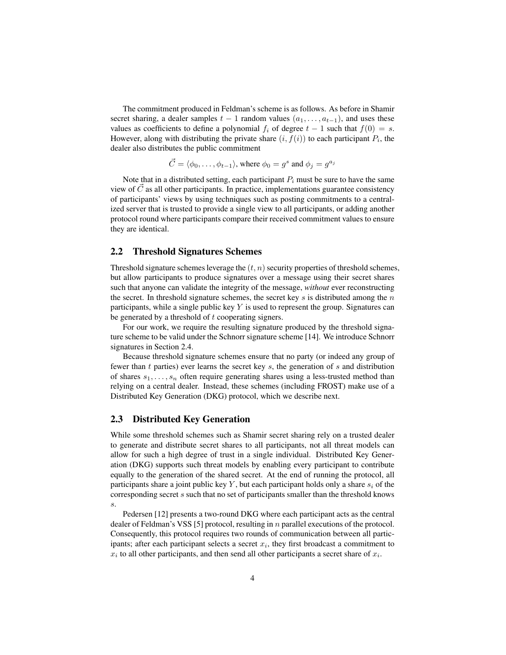The commitment produced in Feldman's scheme is as follows. As before in Shamir secret sharing, a dealer samples  $t - 1$  random values  $(a_1, \ldots, a_{t-1})$ , and uses these values as coefficients to define a polynomial  $f_i$  of degree  $t - 1$  such that  $f(0) = s$ . However, along with distributing the private share  $(i, f(i))$  to each participant  $P_i$ , the dealer also distributes the public commitment

$$
\vec{C} = \langle \phi_0, \dots, \phi_{t-1} \rangle
$$
, where  $\phi_0 = g^s$  and  $\phi_j = g^{a_j}$ 

Note that in a distributed setting, each participant  $P_i$  must be sure to have the same view of  $C$  as all other participants. In practice, implementations guarantee consistency of participants' views by using techniques such as posting commitments to a centralized server that is trusted to provide a single view to all participants, or adding another protocol round where participants compare their received commitment values to ensure they are identical.

### 2.2 Threshold Signatures Schemes

Threshold signature schemes leverage the  $(t, n)$  security properties of threshold schemes, but allow participants to produce signatures over a message using their secret shares such that anyone can validate the integrity of the message, *without* ever reconstructing the secret. In threshold signature schemes, the secret key  $s$  is distributed among the  $n$ participants, while a single public key  $Y$  is used to represent the group. Signatures can be generated by a threshold of t cooperating signers.

For our work, we require the resulting signature produced by the threshold signature scheme to be valid under the Schnorr signature scheme [14]. We introduce Schnorr signatures in Section 2.4.

Because threshold signature schemes ensure that no party (or indeed any group of fewer than t parties) ever learns the secret key  $s$ , the generation of  $s$  and distribution of shares  $s_1, \ldots, s_n$  often require generating shares using a less-trusted method than relying on a central dealer. Instead, these schemes (including FROST) make use of a Distributed Key Generation (DKG) protocol, which we describe next.

### 2.3 Distributed Key Generation

While some threshold schemes such as Shamir secret sharing rely on a trusted dealer to generate and distribute secret shares to all participants, not all threat models can allow for such a high degree of trust in a single individual. Distributed Key Generation (DKG) supports such threat models by enabling every participant to contribute equally to the generation of the shared secret. At the end of running the protocol, all participants share a joint public key Y, but each participant holds only a share  $s_i$  of the corresponding secret s such that no set of participants smaller than the threshold knows s.

Pedersen [12] presents a two-round DKG where each participant acts as the central dealer of Feldman's VSS [5] protocol, resulting in  $n$  parallel executions of the protocol. Consequently, this protocol requires two rounds of communication between all participants; after each participant selects a secret  $x_i$ , they first broadcast a commitment to  $x_i$  to all other participants, and then send all other participants a secret share of  $x_i$ .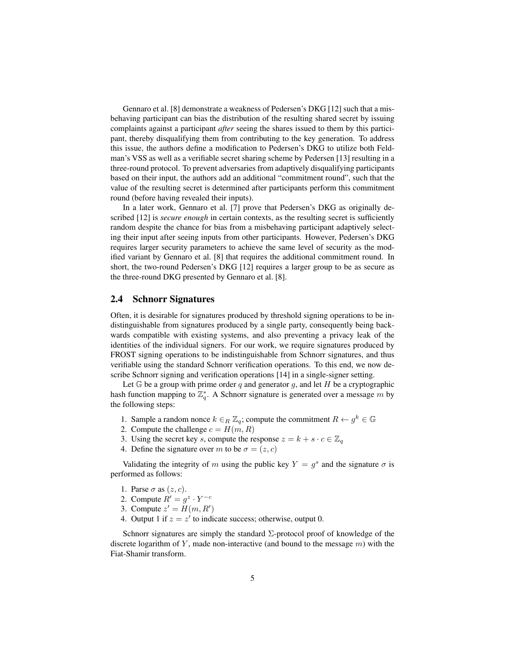Gennaro et al. [8] demonstrate a weakness of Pedersen's DKG [12] such that a misbehaving participant can bias the distribution of the resulting shared secret by issuing complaints against a participant *after* seeing the shares issued to them by this participant, thereby disqualifying them from contributing to the key generation. To address this issue, the authors define a modification to Pedersen's DKG to utilize both Feldman's VSS as well as a verifiable secret sharing scheme by Pedersen [13] resulting in a three-round protocol. To prevent adversaries from adaptively disqualifying participants based on their input, the authors add an additional "commitment round", such that the value of the resulting secret is determined after participants perform this commitment round (before having revealed their inputs).

In a later work, Gennaro et al. [7] prove that Pedersen's DKG as originally described [12] is *secure enough* in certain contexts, as the resulting secret is sufficiently random despite the chance for bias from a misbehaving participant adaptively selecting their input after seeing inputs from other participants. However, Pedersen's DKG requires larger security parameters to achieve the same level of security as the modified variant by Gennaro et al. [8] that requires the additional commitment round. In short, the two-round Pedersen's DKG [12] requires a larger group to be as secure as the three-round DKG presented by Gennaro et al. [8].

### 2.4 Schnorr Signatures

Often, it is desirable for signatures produced by threshold signing operations to be indistinguishable from signatures produced by a single party, consequently being backwards compatible with existing systems, and also preventing a privacy leak of the identities of the individual signers. For our work, we require signatures produced by FROST signing operations to be indistinguishable from Schnorr signatures, and thus verifiable using the standard Schnorr verification operations. To this end, we now describe Schnorr signing and verification operations [14] in a single-signer setting.

Let  $G$  be a group with prime order q and generator g, and let H be a cryptographic hash function mapping to  $\mathbb{Z}_q^*$ . A Schnorr signature is generated over a message m by the following steps:

- 1. Sample a random nonce  $k \in_R \mathbb{Z}_q$ ; compute the commitment  $R \leftarrow g^k \in \mathbb{G}$
- 2. Compute the challenge  $c = H(m, R)$
- 3. Using the secret key s, compute the response  $z = k + s \cdot c \in \mathbb{Z}_q$
- 4. Define the signature over m to be  $\sigma = (z, c)$

Validating the integrity of m using the public key  $Y = g^s$  and the signature  $\sigma$  is performed as follows:

- 1. Parse  $\sigma$  as  $(z, c)$ .
- 2. Compute  $R' = g^z \cdot Y^{-c}$
- 3. Compute  $z' = H(m, R')$
- 4. Output 1 if  $z = z'$  to indicate success; otherwise, output 0.

Schnorr signatures are simply the standard  $\Sigma$ -protocol proof of knowledge of the discrete logarithm of Y, made non-interactive (and bound to the message  $m$ ) with the Fiat-Shamir transform.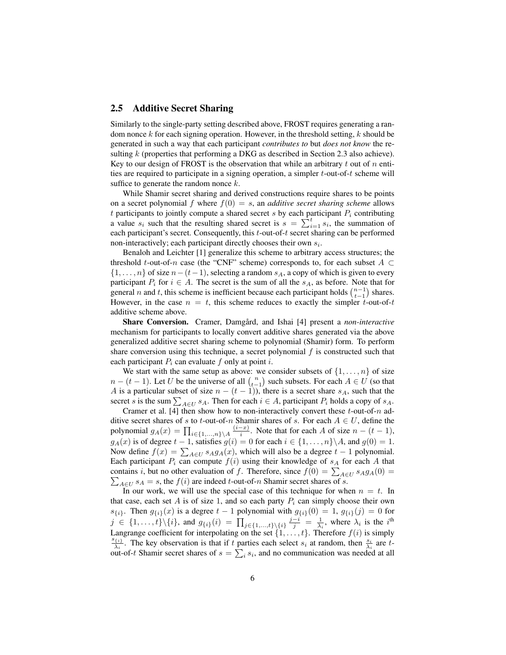### 2.5 Additive Secret Sharing

Similarly to the single-party setting described above, FROST requires generating a random nonce  $k$  for each signing operation. However, in the threshold setting,  $k$  should be generated in such a way that each participant *contributes to* but *does not know* the resulting k (properties that performing a DKG as described in Section 2.3 also achieve). Key to our design of FROST is the observation that while an arbitrary t out of n entities are required to participate in a signing operation, a simpler  $t$ -out-of- $t$  scheme will suffice to generate the random nonce  $k$ .

While Shamir secret sharing and derived constructions require shares to be points on a secret polynomial f where  $f(0) = s$ , an *additive secret sharing scheme* allows  $t$  participants to jointly compute a shared secret  $s$  by each participant  $P_i$  contributing a value  $s_i$  such that the resulting shared secret is  $s = \sum_{i=1}^{t} s_i$ , the summation of each participant's secret. Consequently, this t-out-of-t secret sharing can be performed non-interactively; each participant directly chooses their own  $s_i$ .

Benaloh and Leichter [1] generalize this scheme to arbitrary access structures; the threshold t-out-of-n case (the "CNF" scheme) corresponds to, for each subset  $A \subset$  $\{1, \ldots, n\}$  of size  $n-(t-1)$ , selecting a random  $s_A$ , a copy of which is given to every participant  $P_i$  for  $i \in A$ . The secret is the sum of all the  $s_A$ , as before. Note that for general *n* and *t*, this scheme is inefficient because each participant holds  $\binom{n-1}{t-1}$  shares. However, in the case  $n = t$ , this scheme reduces to exactly the simpler t-out-of-t additive scheme above.

Share Conversion. Cramer, Damgård, and Ishai [4] present a *non-interactive* mechanism for participants to locally convert additive shares generated via the above generalized additive secret sharing scheme to polynomial (Shamir) form. To perform share conversion using this technique, a secret polynomial  $f$  is constructed such that each participant  $P_i$  can evaluate f only at point i.

We start with the same setup as above: we consider subsets of  $\{1, \ldots, n\}$  of size  $n - (t - 1)$ . Let U be the universe of all  $\binom{n}{t-1}$  such subsets. For each  $A \in U$  (so that A is a particular subset of size  $n - (t - 1)$ , there is a secret share  $s_A$ , such that the secret s is the sum  $\sum_{A \in U} s_A$ . Then for each  $i \in A$ , participant  $P_i$  holds a copy of  $s_A$ .

Cramer et al. [4] then show how to non-interactively convert these  $t$ -out-of- $n$  additive secret shares of s to t-out-of-n Shamir shares of s. For each  $A \in U$ , define the polynomial  $g_A(x) = \prod_{i \in \{1,...,n\} \setminus A} \frac{(i-x)}{i}$  $\frac{-x}{i}$ . Note that for each A of size  $n - (t - 1)$ ,  $g_A(x)$  is of degree  $t - 1$ , satisfies  $g(i) = 0$  for each  $i \in \{1, ..., n\} \backslash A$ , and  $g(0) = 1$ . Now define  $f(x) = \sum_{A \in U} s_A g_A(x)$ , which will also be a degree  $t - 1$  polynomial. Each participant  $P_i$  can compute  $f(i)$  using their knowledge of  $s_A$  for each A that contains *i*, but no other evaluation of *f*. Therefore, since  $f(0) = \sum_{A \in U} s_A g_A(0) =$  $\sum_{A \in U} s_A = s$ , the  $f(i)$  are indeed t-out-of-n Shamir secret shares of s.

In our work, we will use the special case of this technique for when  $n = t$ . In that case, each set A is of size 1, and so each party  $P_i$  can simply choose their own  $s_{\{i\}}$ . Then  $g_{\{i\}}(x)$  is a degree  $t-1$  polynomial with  $g_{\{i\}}(0) = 1, g_{\{i\}}(j) = 0$  for  $j \in \{1, \ldots, t\} \setminus \{i\}$ , and  $g_{\{i\}}(i) = \prod_{j \in \{1, \ldots, t\} \setminus \{i\}} \frac{j-i}{j} = \frac{1}{\lambda_i}$ , where  $\lambda_i$  is the i<sup>th</sup> Langrange coefficient for interpolating on the set  $\{1, \ldots, t\}$ . Therefore  $f(i)$  is simply  $s_{\{i\}}$  $\frac{\{i\}}{\lambda_i}$ . The key observation is that if t parties each select  $s_i$  at random, then  $\frac{s_i}{\lambda_i}$  are tout-of-t Shamir secret shares of  $s = \sum_i s_i$ , and no communication was needed at all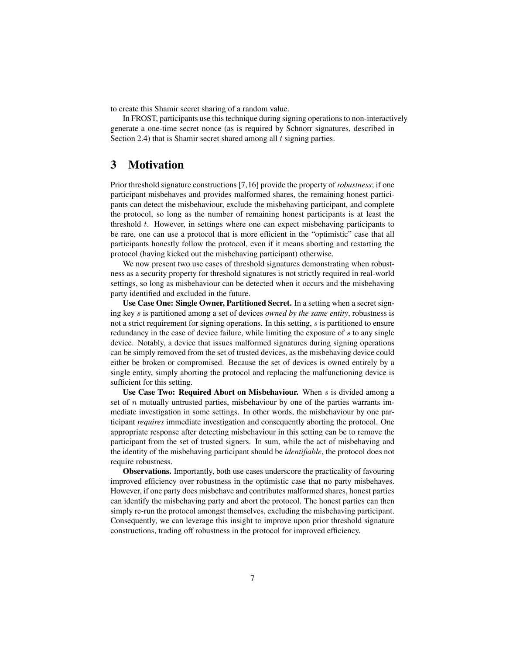to create this Shamir secret sharing of a random value.

In FROST, participants use this technique during signing operations to non-interactively generate a one-time secret nonce (as is required by Schnorr signatures, described in Section 2.4) that is Shamir secret shared among all  $t$  signing parties.

# 3 Motivation

Prior threshold signature constructions [7,16] provide the property of *robustness*; if one participant misbehaves and provides malformed shares, the remaining honest participants can detect the misbehaviour, exclude the misbehaving participant, and complete the protocol, so long as the number of remaining honest participants is at least the threshold t. However, in settings where one can expect misbehaving participants to be rare, one can use a protocol that is more efficient in the "optimistic" case that all participants honestly follow the protocol, even if it means aborting and restarting the protocol (having kicked out the misbehaving participant) otherwise.

We now present two use cases of threshold signatures demonstrating when robustness as a security property for threshold signatures is not strictly required in real-world settings, so long as misbehaviour can be detected when it occurs and the misbehaving party identified and excluded in the future.

Use Case One: Single Owner, Partitioned Secret. In a setting when a secret signing key s is partitioned among a set of devices *owned by the same entity*, robustness is not a strict requirement for signing operations. In this setting, s is partitioned to ensure redundancy in the case of device failure, while limiting the exposure of s to any single device. Notably, a device that issues malformed signatures during signing operations can be simply removed from the set of trusted devices, as the misbehaving device could either be broken or compromised. Because the set of devices is owned entirely by a single entity, simply aborting the protocol and replacing the malfunctioning device is sufficient for this setting.

Use Case Two: Required Abort on Misbehaviour. When  $s$  is divided among a set of  $n$  mutually untrusted parties, misbehaviour by one of the parties warrants immediate investigation in some settings. In other words, the misbehaviour by one participant *requires* immediate investigation and consequently aborting the protocol. One appropriate response after detecting misbehaviour in this setting can be to remove the participant from the set of trusted signers. In sum, while the act of misbehaving and the identity of the misbehaving participant should be *identifiable*, the protocol does not require robustness.

Observations. Importantly, both use cases underscore the practicality of favouring improved efficiency over robustness in the optimistic case that no party misbehaves. However, if one party does misbehave and contributes malformed shares, honest parties can identify the misbehaving party and abort the protocol. The honest parties can then simply re-run the protocol amongst themselves, excluding the misbehaving participant. Consequently, we can leverage this insight to improve upon prior threshold signature constructions, trading off robustness in the protocol for improved efficiency.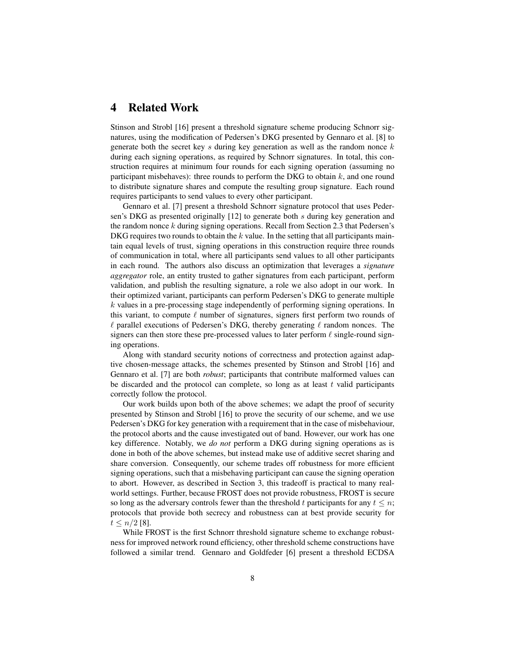# 4 Related Work

Stinson and Strobl [16] present a threshold signature scheme producing Schnorr signatures, using the modification of Pedersen's DKG presented by Gennaro et al. [8] to generate both the secret key s during key generation as well as the random nonce  $k$ during each signing operations, as required by Schnorr signatures. In total, this construction requires at minimum four rounds for each signing operation (assuming no participant misbehaves): three rounds to perform the DKG to obtain  $k$ , and one round to distribute signature shares and compute the resulting group signature. Each round requires participants to send values to every other participant.

Gennaro et al. [7] present a threshold Schnorr signature protocol that uses Pedersen's DKG as presented originally [12] to generate both s during key generation and the random nonce k during signing operations. Recall from Section 2.3 that Pedersen's DKG requires two rounds to obtain the  $k$  value. In the setting that all participants maintain equal levels of trust, signing operations in this construction require three rounds of communication in total, where all participants send values to all other participants in each round. The authors also discuss an optimization that leverages a *signature aggregator* role, an entity trusted to gather signatures from each participant, perform validation, and publish the resulting signature, a role we also adopt in our work. In their optimized variant, participants can perform Pedersen's DKG to generate multiple  $k$  values in a pre-processing stage independently of performing signing operations. In this variant, to compute  $\ell$  number of signatures, signers first perform two rounds of  $\ell$  parallel executions of Pedersen's DKG, thereby generating  $\ell$  random nonces. The signers can then store these pre-processed values to later perform  $\ell$  single-round signing operations.

Along with standard security notions of correctness and protection against adaptive chosen-message attacks, the schemes presented by Stinson and Strobl [16] and Gennaro et al. [7] are both *robust*; participants that contribute malformed values can be discarded and the protocol can complete, so long as at least  $t$  valid participants correctly follow the protocol.

Our work builds upon both of the above schemes; we adapt the proof of security presented by Stinson and Strobl [16] to prove the security of our scheme, and we use Pedersen's DKG for key generation with a requirement that in the case of misbehaviour, the protocol aborts and the cause investigated out of band. However, our work has one key difference. Notably, we *do not* perform a DKG during signing operations as is done in both of the above schemes, but instead make use of additive secret sharing and share conversion. Consequently, our scheme trades off robustness for more efficient signing operations, such that a misbehaving participant can cause the signing operation to abort. However, as described in Section 3, this tradeoff is practical to many realworld settings. Further, because FROST does not provide robustness, FROST is secure so long as the adversary controls fewer than the threshold t participants for any  $t \leq n$ ; protocols that provide both secrecy and robustness can at best provide security for  $t \leq n/2$  [8].

While FROST is the first Schnorr threshold signature scheme to exchange robustness for improved network round efficiency, other threshold scheme constructions have followed a similar trend. Gennaro and Goldfeder [6] present a threshold ECDSA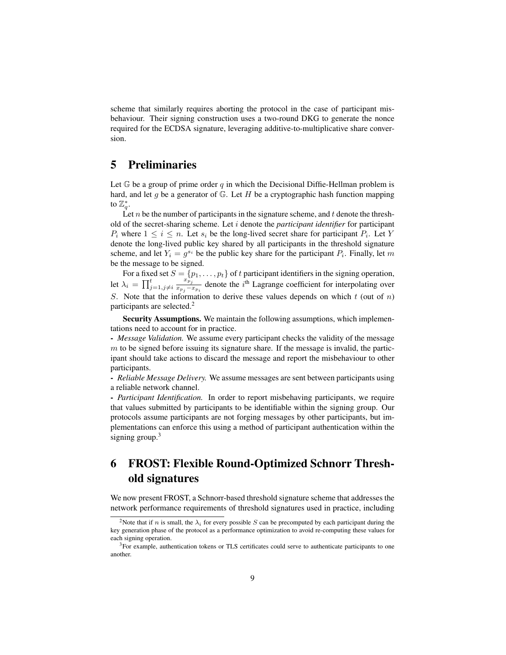scheme that similarly requires aborting the protocol in the case of participant misbehaviour. Their signing construction uses a two-round DKG to generate the nonce required for the ECDSA signature, leveraging additive-to-multiplicative share conversion.

# 5 Preliminaries

Let  $\mathbb G$  be a group of prime order q in which the Decisional Diffie-Hellman problem is hard, and let g be a generator of  $G$ . Let H be a cryptographic hash function mapping to  $\mathbb{Z}_q^*$ .

Let n be the number of participants in the signature scheme, and t denote the threshold of the secret-sharing scheme. Let i denote the *participant identifier* for participant  $P_i$  where  $1 \leq i \leq n$ . Let  $s_i$  be the long-lived secret share for participant  $P_i$ . Let Y denote the long-lived public key shared by all participants in the threshold signature scheme, and let  $Y_i = g^{s_i}$  be the public key share for the participant  $P_i$ . Finally, let m be the message to be signed.

For a fixed set  $S = \{p_1, \ldots, p_t\}$  of t participant identifiers in the signing operation, let  $\lambda_i = \prod_{j=1, j\neq i}^t \frac{x_{p_j}^{\alpha}}{x_{p_j} - x_{p_j}}$  $\frac{x_{p_j}}{x_{p_j}-x_{p_i}}$  denote the i<sup>th</sup> Lagrange coefficient for interpolating over S. Note that the information to derive these values depends on which  $t$  (out of  $n$ ) participants are selected.<sup>2</sup>

Security Assumptions. We maintain the following assumptions, which implementations need to account for in practice.

- *Message Validation.* We assume every participant checks the validity of the message  $m$  to be signed before issuing its signature share. If the message is invalid, the participant should take actions to discard the message and report the misbehaviour to other participants.

- *Reliable Message Delivery.* We assume messages are sent between participants using a reliable network channel.

- *Participant Identification.* In order to report misbehaving participants, we require that values submitted by participants to be identifiable within the signing group. Our protocols assume participants are not forging messages by other participants, but implementations can enforce this using a method of participant authentication within the signing group.<sup>3</sup>

# 6 FROST: Flexible Round-Optimized Schnorr Threshold signatures

We now present FROST, a Schnorr-based threshold signature scheme that addresses the network performance requirements of threshold signatures used in practice, including

<sup>&</sup>lt;sup>2</sup>Note that if n is small, the  $\lambda_i$  for every possible S can be precomputed by each participant during the key generation phase of the protocol as a performance optimization to avoid re-computing these values for each signing operation.

 $3$ For example, authentication tokens or TLS certificates could serve to authenticate participants to one another.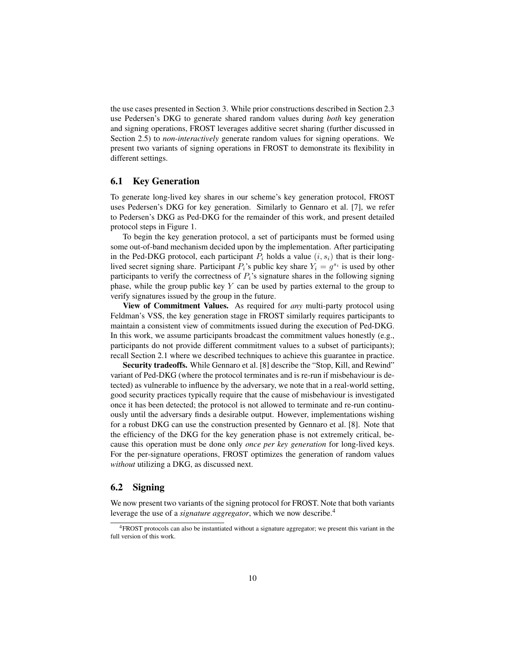the use cases presented in Section 3. While prior constructions described in Section 2.3 use Pedersen's DKG to generate shared random values during *both* key generation and signing operations, FROST leverages additive secret sharing (further discussed in Section 2.5) to *non-interactively* generate random values for signing operations. We present two variants of signing operations in FROST to demonstrate its flexibility in different settings.

### 6.1 Key Generation

To generate long-lived key shares in our scheme's key generation protocol, FROST uses Pedersen's DKG for key generation. Similarly to Gennaro et al. [7], we refer to Pedersen's DKG as Ped-DKG for the remainder of this work, and present detailed protocol steps in Figure 1.

To begin the key generation protocol, a set of participants must be formed using some out-of-band mechanism decided upon by the implementation. After participating in the Ped-DKG protocol, each participant  $P_i$  holds a value  $(i, s_i)$  that is their longlived secret signing share. Participant  $P_i$ 's public key share  $Y_i = g^{s_i}$  is used by other participants to verify the correctness of  $P_i$ 's signature shares in the following signing phase, while the group public key  $Y$  can be used by parties external to the group to verify signatures issued by the group in the future.

View of Commitment Values. As required for *any* multi-party protocol using Feldman's VSS, the key generation stage in FROST similarly requires participants to maintain a consistent view of commitments issued during the execution of Ped-DKG. In this work, we assume participants broadcast the commitment values honestly (e.g., participants do not provide different commitment values to a subset of participants); recall Section 2.1 where we described techniques to achieve this guarantee in practice.

Security tradeoffs. While Gennaro et al. [8] describe the "Stop, Kill, and Rewind" variant of Ped-DKG (where the protocol terminates and is re-run if misbehaviour is detected) as vulnerable to influence by the adversary, we note that in a real-world setting, good security practices typically require that the cause of misbehaviour is investigated once it has been detected; the protocol is not allowed to terminate and re-run continuously until the adversary finds a desirable output. However, implementations wishing for a robust DKG can use the construction presented by Gennaro et al. [8]. Note that the efficiency of the DKG for the key generation phase is not extremely critical, because this operation must be done only *once per key generation* for long-lived keys. For the per-signature operations, FROST optimizes the generation of random values *without* utilizing a DKG, as discussed next.

### 6.2 Signing

We now present two variants of the signing protocol for FROST. Note that both variants leverage the use of a *signature aggregator*, which we now describe.<sup>4</sup>

<sup>4</sup>FROST protocols can also be instantiated without a signature aggregator; we present this variant in the full version of this work.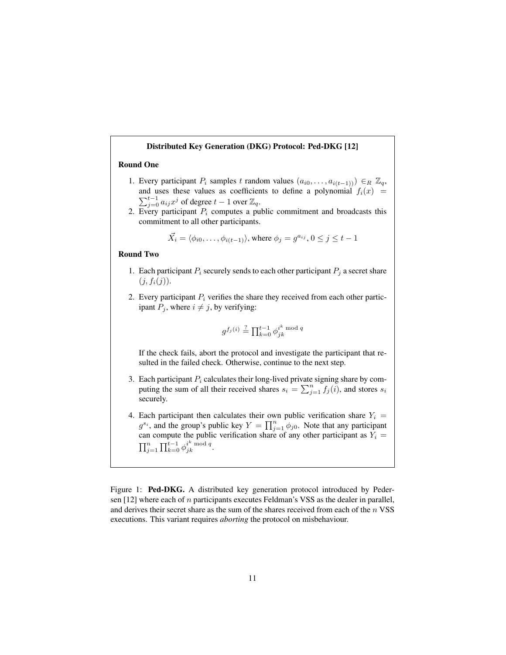#### Distributed Key Generation (DKG) Protocol: Ped-DKG [12]

### Round One

- 1. Every participant  $P_i$  samples t random values  $(a_{i0}, \ldots, a_{i(t-1))}) \in_R \mathbb{Z}_q$ , and uses these values as coefficients to define a polynomial  $f_i(x)$  =  $\sum_{j=0}^{t-1} a_{ij} x^j$  of degree  $t-1$  over  $\mathbb{Z}_q$ .
- 2. Every participant  $P_i$  computes a public commitment and broadcasts this commitment to all other participants.

$$
\vec{X}_i = \langle \phi_{i0}, \dots, \phi_{i(t-1)} \rangle
$$
, where  $\phi_j = g^{a_{ij}}$ ,  $0 \le j \le t - 1$ 

#### Round Two

- 1. Each participant  $P_i$  securely sends to each other participant  $P_j$  a secret share  $(j, f_i(j)).$
- 2. Every participant  $P_i$  verifies the share they received from each other participant  $P_j$ , where  $i \neq j$ , by verifying:

$$
g^{f_j(i)} \stackrel{?}{=} \prod_{k=0}^{t-1} \phi_{jk}^{i^k \bmod q}
$$

If the check fails, abort the protocol and investigate the participant that resulted in the failed check. Otherwise, continue to the next step.

- 3. Each participant  $P_i$  calculates their long-lived private signing share by computing the sum of all their received shares  $s_i = \sum_{j=1}^n f_j(i)$ , and stores  $s_i$ securely.
- 4. Each participant then calculates their own public verification share  $Y_i =$  $g^{s_i}$ , and the group's public key  $Y = \prod_{j=1}^n \phi_{j0}$ . Note that any participant can compute the public verification share of any other participant as  $Y_i =$  $\prod_{j=1}^n \prod_{k=0}^{t-1} \phi_{jk}^{i^k \bmod q}.$

Figure 1: Ped-DKG. A distributed key generation protocol introduced by Pedersen  $[12]$  where each of n participants executes Feldman's VSS as the dealer in parallel, and derives their secret share as the sum of the shares received from each of the  $n$  VSS executions. This variant requires *aborting* the protocol on misbehaviour.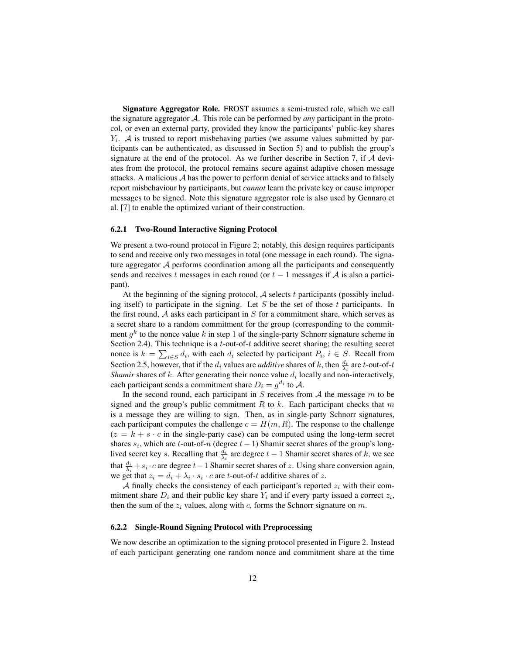Signature Aggregator Role. FROST assumes a semi-trusted role, which we call the signature aggregator A. This role can be performed by *any* participant in the protocol, or even an external party, provided they know the participants' public-key shares  $Y_i$ . A is trusted to report misbehaving parties (we assume values submitted by participants can be authenticated, as discussed in Section 5) and to publish the group's signature at the end of the protocol. As we further describe in Section 7, if  $A$  deviates from the protocol, the protocol remains secure against adaptive chosen message attacks. A malicious  $A$  has the power to perform denial of service attacks and to falsely report misbehaviour by participants, but *cannot* learn the private key or cause improper messages to be signed. Note this signature aggregator role is also used by Gennaro et al. [7] to enable the optimized variant of their construction.

#### 6.2.1 Two-Round Interactive Signing Protocol

We present a two-round protocol in Figure 2; notably, this design requires participants to send and receive only two messages in total (one message in each round). The signature aggregator  $A$  performs coordination among all the participants and consequently sends and receives t messages in each round (or  $t - 1$  messages if A is also a participant).

At the beginning of the signing protocol,  $A$  selects t participants (possibly including itself) to participate in the signing. Let  $S$  be the set of those  $t$  participants. In the first round,  $A$  asks each participant in  $S$  for a commitment share, which serves as a secret share to a random commitment for the group (corresponding to the commitment  $g^k$  to the nonce value k in step 1 of the single-party Schnorr signature scheme in Section 2.4). This technique is a  $t$ -out-of- $t$  additive secret sharing; the resulting secret nonce is  $k = \sum_{i \in S} d_i$ , with each  $d_i$  selected by participant  $P_i$ ,  $i \in S$ . Recall from Section 2.5, however, that if the  $d_i$  values are *additive* shares of k, then  $\frac{d_i}{\lambda_i}$  are t-out-of-t *Shamir* shares of  $k$ . After generating their nonce value  $d_i$  locally and non-interactively, each participant sends a commitment share  $D_i = g^{d_i}$  to A.

In the second round, each participant in  $S$  receives from  $A$  the message  $m$  to be signed and the group's public commitment  $R$  to  $k$ . Each participant checks that  $m$ is a message they are willing to sign. Then, as in single-party Schnorr signatures, each participant computes the challenge  $c = H(m, R)$ . The response to the challenge  $(z = k + s \cdot c)$  in the single-party case) can be computed using the long-term secret shares  $s_i$ , which are t-out-of-n (degree  $t - 1$ ) Shamir secret shares of the group's longlived secret key *s*. Recalling that  $\frac{d_i}{\lambda_i}$  are degree  $t-1$  Shamir secret shares of k, we see that  $\frac{d_i}{\lambda_i} + s_i \cdot c$  are degree  $t-1$  Shamir secret shares of z. Using share conversion again, we get that  $z_i = d_i + \lambda_i \cdot s_i \cdot c$  are *t*-out-of-*t* additive shares of z.

A finally checks the consistency of each participant's reported  $z_i$  with their commitment share  $D_i$  and their public key share  $Y_i$  and if every party issued a correct  $z_i$ , then the sum of the  $z_i$  values, along with c, forms the Schnorr signature on m.

#### 6.2.2 Single-Round Signing Protocol with Preprocessing

We now describe an optimization to the signing protocol presented in Figure 2. Instead of each participant generating one random nonce and commitment share at the time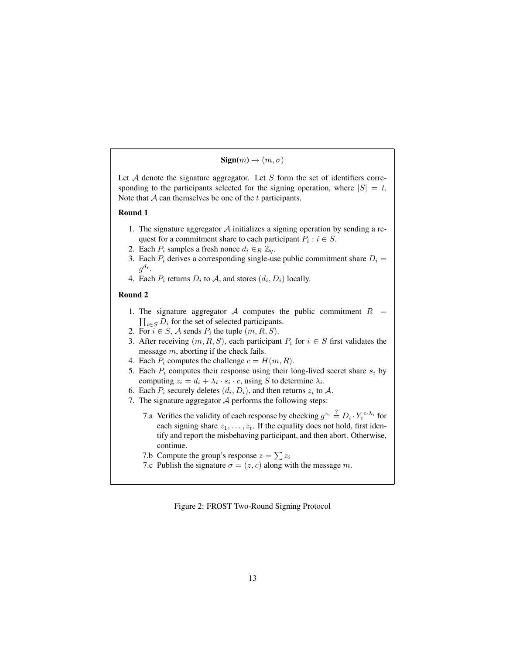$Sign(m) \rightarrow (m, \sigma)$ 

Let  $A$  denote the signature aggregator. Let  $S$  form the set of identifiers corresponding to the participants selected for the signing operation, where  $|S| = t$ . Note that  $A$  can themselves be one of the  $t$  participants.

#### Round 1

- 1. The signature aggregator  $A$  initializes a signing operation by sending a request for a commitment share to each participant  $P_i : i \in S$ .
- 2. Each  $P_i$  samples a fresh nonce  $d_i \in_R \mathbb{Z}_q$ .
- 3. Each  $P_i$  derives a corresponding single-use public commitment share  $D_i =$  $g^{d_i}.$
- 4. Each  $P_i$  returns  $D_i$  to  $A$ , and stores  $(d_i, D_i)$  locally.

#### Round 2

- 1. The signature aggregator A computes the public commitment  $R =$  $\prod_{i \in S} D_i$  for the set of selected participants.
- 2. For  $i \in S$ , A sends  $P_i$  the tuple  $(m, R, S)$ .
- 3. After receiving  $(m, R, S)$ , each participant  $P_i$  for  $i \in S$  first validates the message m, aborting if the check fails.
- 4. Each  $P_i$  computes the challenge  $c = H(m, R)$ .
- 5. Each  $P_i$  computes their response using their long-lived secret share  $s_i$  by computing  $z_i = d_i + \lambda_i \cdot s_i \cdot c$ , using S to determine  $\lambda_i$ .
- 6. Each  $P_i$  securely deletes  $(d_i, D_i)$ , and then returns  $z_i$  to  $\mathcal{A}$ .
- 7. The signature aggregator  $A$  performs the following steps:
	- 7.a Verifies the validity of each response by checking  $g^{z_i} \stackrel{?}{=} D_i \cdot Y_i^{c \cdot \lambda_i}$  for each signing share  $z_1, \ldots, z_t$ . If the equality does not hold, first identify and report the misbehaving participant, and then abort. Otherwise, continue.
	- 7.b Compute the group's response  $z = \sum z_i$
	- 7.c Publish the signature  $\sigma = (z, c)$  along with the message m.

Figure 2: FROST Two-Round Signing Protocol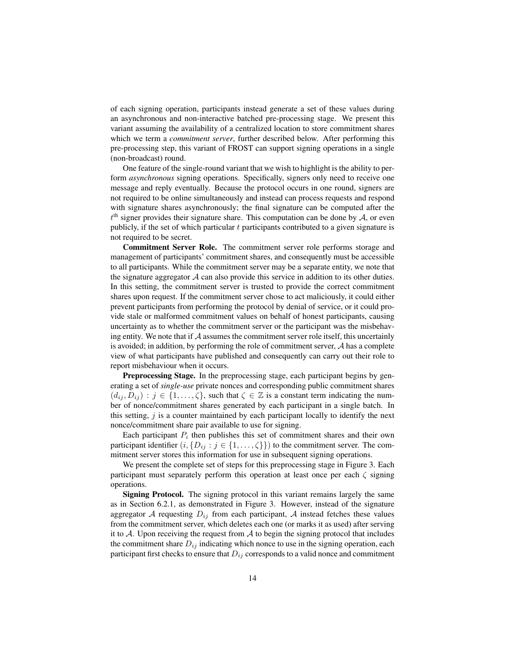of each signing operation, participants instead generate a set of these values during an asynchronous and non-interactive batched pre-processing stage. We present this variant assuming the availability of a centralized location to store commitment shares which we term a *commitment server*, further described below. After performing this pre-processing step, this variant of FROST can support signing operations in a single (non-broadcast) round.

One feature of the single-round variant that we wish to highlight is the ability to perform *asynchronous* signing operations. Specifically, signers only need to receive one message and reply eventually. Because the protocol occurs in one round, signers are not required to be online simultaneously and instead can process requests and respond with signature shares asynchronously; the final signature can be computed after the  $t<sup>th</sup>$  signer provides their signature share. This computation can be done by A, or even publicly, if the set of which particular  $t$  participants contributed to a given signature is not required to be secret.

Commitment Server Role. The commitment server role performs storage and management of participants' commitment shares, and consequently must be accessible to all participants. While the commitment server may be a separate entity, we note that the signature aggregator  $A$  can also provide this service in addition to its other duties. In this setting, the commitment server is trusted to provide the correct commitment shares upon request. If the commitment server chose to act maliciously, it could either prevent participants from performing the protocol by denial of service, or it could provide stale or malformed commitment values on behalf of honest participants, causing uncertainty as to whether the commitment server or the participant was the misbehaving entity. We note that if  $A$  assumes the commitment server role itself, this uncertainly is avoided; in addition, by performing the role of commitment server,  $A$  has a complete view of what participants have published and consequently can carry out their role to report misbehaviour when it occurs.

Preprocessing Stage. In the preprocessing stage, each participant begins by generating a set of *single-use* private nonces and corresponding public commitment shares  $(d_{ij}, D_{ij}) : j \in \{1, \ldots, \zeta\}$ , such that  $\zeta \in \mathbb{Z}$  is a constant term indicating the number of nonce/commitment shares generated by each participant in a single batch. In this setting,  $j$  is a counter maintained by each participant locally to identify the next nonce/commitment share pair available to use for signing.

Each participant  $P_i$  then publishes this set of commitment shares and their own participant identifier  $(i, \{D_{ij} : j \in \{1, ..., \zeta\}\})$  to the commitment server. The commitment server stores this information for use in subsequent signing operations.

We present the complete set of steps for this preprocessing stage in Figure 3. Each participant must separately perform this operation at least once per each  $\zeta$  signing operations.

Signing Protocol. The signing protocol in this variant remains largely the same as in Section 6.2.1, as demonstrated in Figure 3. However, instead of the signature aggregator A requesting  $D_{ij}$  from each participant, A instead fetches these values from the commitment server, which deletes each one (or marks it as used) after serving it to  $\mathcal{A}$ . Upon receiving the request from  $\mathcal{A}$  to begin the signing protocol that includes the commitment share  $D_{ij}$  indicating which nonce to use in the signing operation, each participant first checks to ensure that  $D_{ij}$  corresponds to a valid nonce and commitment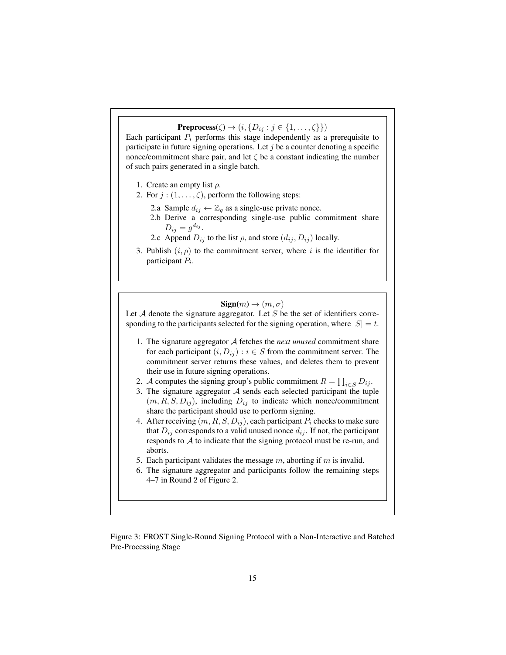Preprocess( $\zeta$ )  $\rightarrow$   $(i, \{D_{ij} : j \in \{1, \ldots, \zeta\}\})$ 

Each participant  $P_i$  performs this stage independently as a prerequisite to participate in future signing operations. Let  $j$  be a counter denoting a specific nonce/commitment share pair, and let  $\zeta$  be a constant indicating the number of such pairs generated in a single batch.

- 1. Create an empty list  $\rho$ .
- 2. For  $j : (1, \ldots, \zeta)$ , perform the following steps:
	- 2.a Sample  $d_{ij} \leftarrow \mathbb{Z}_q$  as a single-use private nonce.
	- 2.b Derive a corresponding single-use public commitment share  $D_{ij} = g^{d_{ij}}.$
	- 2.c Append  $D_{ij}$  to the list  $\rho$ , and store  $(d_{ij}, D_{ij})$  locally.
- 3. Publish  $(i, \rho)$  to the commitment server, where i is the identifier for participant  $P_i$ .

### $\text{Sign}(m) \rightarrow (m, \sigma)$

Let  $A$  denote the signature aggregator. Let  $S$  be the set of identifiers corresponding to the participants selected for the signing operation, where  $|S| = t$ .

- 1. The signature aggregator A fetches the *next unused* commitment share for each participant  $(i, D_{ij}) : i \in S$  from the commitment server. The commitment server returns these values, and deletes them to prevent their use in future signing operations.
- 2. A computes the signing group's public commitment  $R = \prod_{i \in S} D_{ij}$ .
- 3. The signature aggregator  $A$  sends each selected participant the tuple  $(m, R, S, D_{ij})$ , including  $D_{ij}$  to indicate which nonce/commitment share the participant should use to perform signing.
- 4. After receiving  $(m, R, S, D_{ij})$ , each participant  $P_i$  checks to make sure that  $D_{ij}$  corresponds to a valid unused nonce  $d_{ij}$ . If not, the participant responds to  $A$  to indicate that the signing protocol must be re-run, and aborts.
- 5. Each participant validates the message  $m$ , aborting if  $m$  is invalid.
- 6. The signature aggregator and participants follow the remaining steps 4–7 in Round 2 of Figure 2.

Figure 3: FROST Single-Round Signing Protocol with a Non-Interactive and Batched Pre-Processing Stage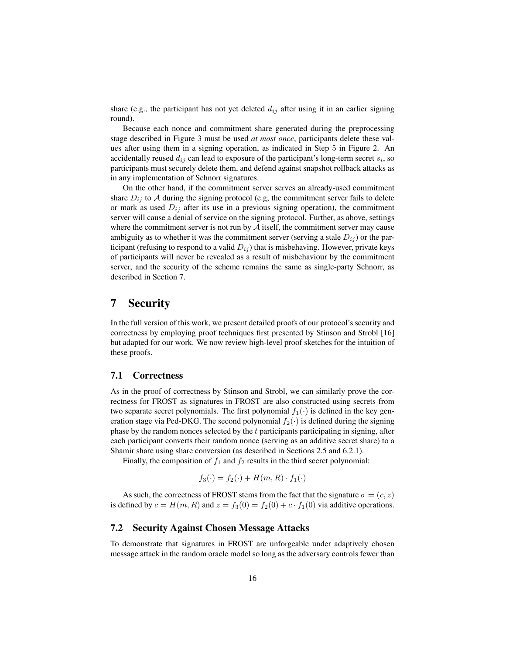share (e.g., the participant has not yet deleted  $d_{ij}$  after using it in an earlier signing round).

Because each nonce and commitment share generated during the preprocessing stage described in Figure 3 must be used *at most once*, participants delete these values after using them in a signing operation, as indicated in Step 5 in Figure 2. An accidentally reused  $d_{ij}$  can lead to exposure of the participant's long-term secret  $s_i$ , so participants must securely delete them, and defend against snapshot rollback attacks as in any implementation of Schnorr signatures.

On the other hand, if the commitment server serves an already-used commitment share  $D_{ij}$  to A during the signing protocol (e.g, the commitment server fails to delete or mark as used  $D_{ij}$  after its use in a previous signing operation), the commitment server will cause a denial of service on the signing protocol. Further, as above, settings where the commitment server is not run by  $A$  itself, the commitment server may cause ambiguity as to whether it was the commitment server (serving a stale  $D_{ij}$ ) or the participant (refusing to respond to a valid  $D_{ij}$ ) that is misbehaving. However, private keys of participants will never be revealed as a result of misbehaviour by the commitment server, and the security of the scheme remains the same as single-party Schnorr, as described in Section 7.

# 7 Security

In the full version of this work, we present detailed proofs of our protocol's security and correctness by employing proof techniques first presented by Stinson and Strobl [16] but adapted for our work. We now review high-level proof sketches for the intuition of these proofs.

### 7.1 Correctness

As in the proof of correctness by Stinson and Strobl, we can similarly prove the correctness for FROST as signatures in FROST are also constructed using secrets from two separate secret polynomials. The first polynomial  $f_1(\cdot)$  is defined in the key generation stage via Ped-DKG. The second polynomial  $f_2(\cdot)$  is defined during the signing phase by the random nonces selected by the  $t$  participants participating in signing, after each participant converts their random nonce (serving as an additive secret share) to a Shamir share using share conversion (as described in Sections 2.5 and 6.2.1).

Finally, the composition of  $f_1$  and  $f_2$  results in the third secret polynomial:

$$
f_3(\cdot) = f_2(\cdot) + H(m, R) \cdot f_1(\cdot)
$$

As such, the correctness of FROST stems from the fact that the signature  $\sigma = (c, z)$ is defined by  $c = H(m, R)$  and  $z = f_3(0) = f_2(0) + c \cdot f_1(0)$  via additive operations.

### 7.2 Security Against Chosen Message Attacks

To demonstrate that signatures in FROST are unforgeable under adaptively chosen message attack in the random oracle model so long as the adversary controls fewer than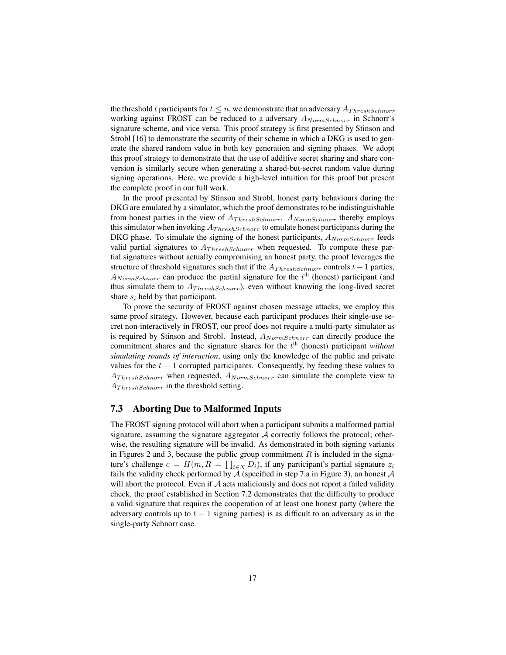the threshold t participants for  $t \leq n$ , we demonstrate that an adversary  $A_{ThreshSchnorr}$ working against FROST can be reduced to a adversary  $A_{NormSchnorr}$  in Schnorr's signature scheme, and vice versa. This proof strategy is first presented by Stinson and Strobl [16] to demonstrate the security of their scheme in which a DKG is used to generate the shared random value in both key generation and signing phases. We adopt this proof strategy to demonstrate that the use of additive secret sharing and share conversion is similarly secure when generating a shared-but-secret random value during signing operations. Here, we provide a high-level intuition for this proof but present the complete proof in our full work.

In the proof presented by Stinson and Strobl, honest party behaviours during the DKG are emulated by a simulator, which the proof demonstrates to be indistinguishable from honest parties in the view of  $A_{ThreshSchnorr}$ .  $A_{NormSchnorr}$  thereby employs this simulator when invoking  $A_{ThreshSchnorr}$  to emulate honest participants during the DKG phase. To simulate the signing of the honest participants,  $A_{NormSchorr}$  feeds valid partial signatures to  $A_{ThreshSchnorr}$  when requested. To compute these partial signatures without actually compromising an honest party, the proof leverages the structure of threshold signatures such that if the  $A_{ThreshSchnorr}$  controls  $t - 1$  parties,  $A_{NormSchnorr}$  can produce the partial signature for the  $t<sup>th</sup>$  (honest) participant (and thus simulate them to  $A_{ThreshSchnorr}$ ), even without knowing the long-lived secret share  $s_i$  held by that participant.

To prove the security of FROST against chosen message attacks, we employ this same proof strategy. However, because each participant produces their single-use secret non-interactively in FROST, our proof does not require a multi-party simulator as is required by Stinson and Strobl. Instead,  $A_{NormSchnorr}$  can directly produce the commitment shares and the signature shares for the  $t<sup>th</sup>$  (honest) participant *without simulating rounds of interaction*, using only the knowledge of the public and private values for the  $t - 1$  corrupted participants. Consequently, by feeding these values to  $A_{ThreshSchnorr}$  when requested,  $A_{NormSchnorr}$  can simulate the complete view to  $A_{ThreshSchnorr}$  in the threshold setting.

### 7.3 Aborting Due to Malformed Inputs

The FROST signing protocol will abort when a participant submits a malformed partial signature, assuming the signature aggregator  $A$  correctly follows the protocol; otherwise, the resulting signature will be invalid. As demonstrated in both signing variants in Figures 2 and 3, because the public group commitment  $R$  is included in the signature's challenge  $c = H(m, R = \prod_{i \in X} D_i)$ , if any participant's partial signature  $z_i$ fails the validity check performed by  $\overline{A}$  (specified in step 7.a in Figure 3), an honest  $A$ will abort the protocol. Even if  $A$  acts maliciously and does not report a failed validity check, the proof established in Section 7.2 demonstrates that the difficulty to produce a valid signature that requires the cooperation of at least one honest party (where the adversary controls up to  $t - 1$  signing parties) is as difficult to an adversary as in the single-party Schnorr case.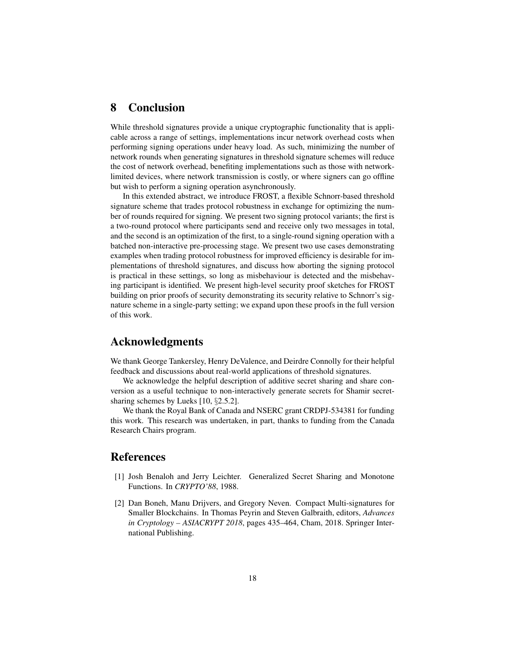# 8 Conclusion

While threshold signatures provide a unique cryptographic functionality that is applicable across a range of settings, implementations incur network overhead costs when performing signing operations under heavy load. As such, minimizing the number of network rounds when generating signatures in threshold signature schemes will reduce the cost of network overhead, benefiting implementations such as those with networklimited devices, where network transmission is costly, or where signers can go offline but wish to perform a signing operation asynchronously.

In this extended abstract, we introduce FROST, a flexible Schnorr-based threshold signature scheme that trades protocol robustness in exchange for optimizing the number of rounds required for signing. We present two signing protocol variants; the first is a two-round protocol where participants send and receive only two messages in total, and the second is an optimization of the first, to a single-round signing operation with a batched non-interactive pre-processing stage. We present two use cases demonstrating examples when trading protocol robustness for improved efficiency is desirable for implementations of threshold signatures, and discuss how aborting the signing protocol is practical in these settings, so long as misbehaviour is detected and the misbehaving participant is identified. We present high-level security proof sketches for FROST building on prior proofs of security demonstrating its security relative to Schnorr's signature scheme in a single-party setting; we expand upon these proofs in the full version of this work.

## Acknowledgments

We thank George Tankersley, Henry DeValence, and Deirdre Connolly for their helpful feedback and discussions about real-world applications of threshold signatures.

We acknowledge the helpful description of additive secret sharing and share conversion as a useful technique to non-interactively generate secrets for Shamir secretsharing schemes by Lueks [10, §2.5.2].

We thank the Royal Bank of Canada and NSERC grant CRDPJ-534381 for funding this work. This research was undertaken, in part, thanks to funding from the Canada Research Chairs program.

## References

- [1] Josh Benaloh and Jerry Leichter. Generalized Secret Sharing and Monotone Functions. In *CRYPTO'88*, 1988.
- [2] Dan Boneh, Manu Drijvers, and Gregory Neven. Compact Multi-signatures for Smaller Blockchains. In Thomas Peyrin and Steven Galbraith, editors, *Advances in Cryptology – ASIACRYPT 2018*, pages 435–464, Cham, 2018. Springer International Publishing.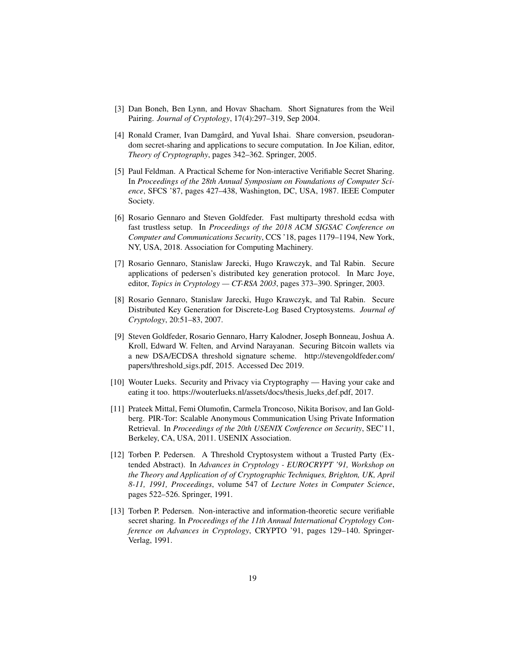- [3] Dan Boneh, Ben Lynn, and Hovav Shacham. Short Signatures from the Weil Pairing. *Journal of Cryptology*, 17(4):297–319, Sep 2004.
- [4] Ronald Cramer, Ivan Damgård, and Yuval Ishai. Share conversion, pseudorandom secret-sharing and applications to secure computation. In Joe Kilian, editor, *Theory of Cryptography*, pages 342–362. Springer, 2005.
- [5] Paul Feldman. A Practical Scheme for Non-interactive Verifiable Secret Sharing. In *Proceedings of the 28th Annual Symposium on Foundations of Computer Science*, SFCS '87, pages 427–438, Washington, DC, USA, 1987. IEEE Computer Society.
- [6] Rosario Gennaro and Steven Goldfeder. Fast multiparty threshold ecdsa with fast trustless setup. In *Proceedings of the 2018 ACM SIGSAC Conference on Computer and Communications Security*, CCS '18, pages 1179–1194, New York, NY, USA, 2018. Association for Computing Machinery.
- [7] Rosario Gennaro, Stanislaw Jarecki, Hugo Krawczyk, and Tal Rabin. Secure applications of pedersen's distributed key generation protocol. In Marc Joye, editor, *Topics in Cryptology — CT-RSA 2003*, pages 373–390. Springer, 2003.
- [8] Rosario Gennaro, Stanislaw Jarecki, Hugo Krawczyk, and Tal Rabin. Secure Distributed Key Generation for Discrete-Log Based Cryptosystems. *Journal of Cryptology*, 20:51–83, 2007.
- [9] Steven Goldfeder, Rosario Gennaro, Harry Kalodner, Joseph Bonneau, Joshua A. Kroll, Edward W. Felten, and Arvind Narayanan. Securing Bitcoin wallets via a new DSA/ECDSA threshold signature scheme. http://stevengoldfeder.com/ papers/threshold sigs.pdf, 2015. Accessed Dec 2019.
- [10] Wouter Lueks. Security and Privacy via Cryptography Having your cake and eating it too. https://wouterlueks.nl/assets/docs/thesis lueks def.pdf, 2017.
- [11] Prateek Mittal, Femi Olumofin, Carmela Troncoso, Nikita Borisov, and Ian Goldberg. PIR-Tor: Scalable Anonymous Communication Using Private Information Retrieval. In *Proceedings of the 20th USENIX Conference on Security*, SEC'11, Berkeley, CA, USA, 2011. USENIX Association.
- [12] Torben P. Pedersen. A Threshold Cryptosystem without a Trusted Party (Extended Abstract). In *Advances in Cryptology - EUROCRYPT '91, Workshop on the Theory and Application of of Cryptographic Techniques, Brighton, UK, April 8-11, 1991, Proceedings*, volume 547 of *Lecture Notes in Computer Science*, pages 522–526. Springer, 1991.
- [13] Torben P. Pedersen. Non-interactive and information-theoretic secure verifiable secret sharing. In *Proceedings of the 11th Annual International Cryptology Conference on Advances in Cryptology*, CRYPTO '91, pages 129–140. Springer-Verlag, 1991.